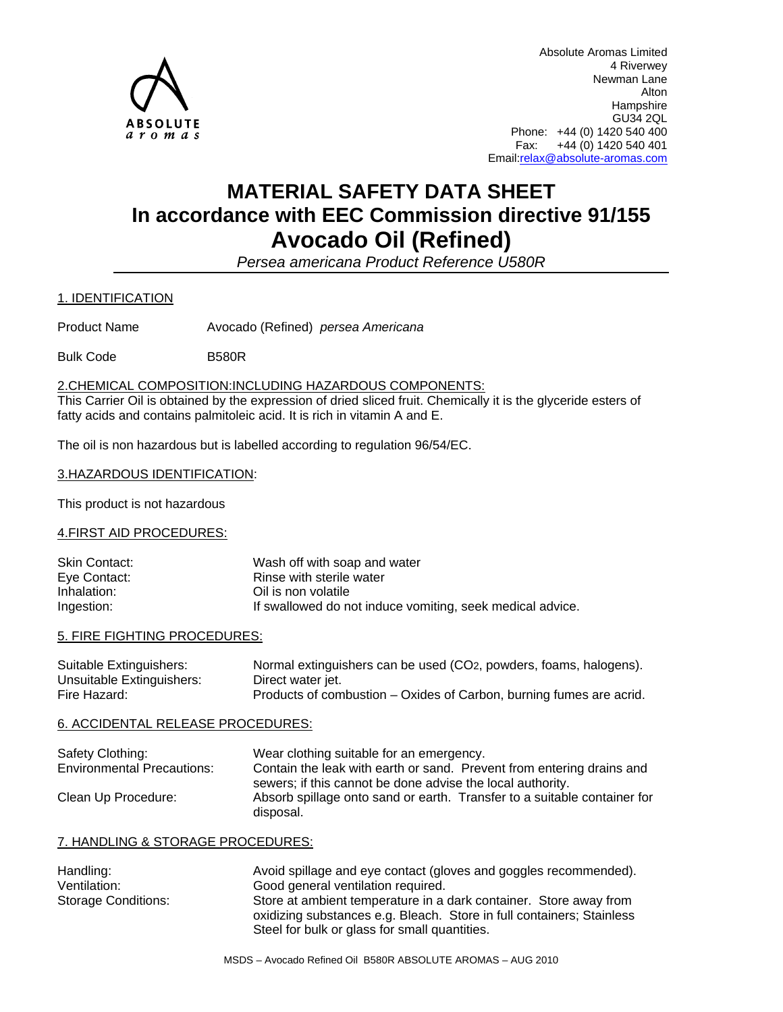

Absolute Aromas Limited 4 Riverwey Newman Lane Alton Hampshire GU34 2QL Phone: +44 (0) 1420 540 400 Fax: +44 (0) 1420 540 401 Email:relax@absolute-aromas.com

# **MATERIAL SAFETY DATA SHEET In accordance with EEC Commission directive 91/155 Avocado Oil (Refined)**

*Persea americana Product Reference U580R* 

1. IDENTIFICATION

Product Name Avocado (Refined) *persea Americana* 

Bulk Code B580R

## 2.CHEMICAL COMPOSITION:INCLUDING HAZARDOUS COMPONENTS:

This Carrier Oil is obtained by the expression of dried sliced fruit. Chemically it is the glyceride esters of fatty acids and contains palmitoleic acid. It is rich in vitamin A and E.

The oil is non hazardous but is labelled according to regulation 96/54/EC.

## 3.HAZARDOUS IDENTIFICATION:

This product is not hazardous

## 4.FIRST AID PROCEDURES:

| Skin Contact: | Wash off with soap and water                              |
|---------------|-----------------------------------------------------------|
| Eye Contact:  | Rinse with sterile water                                  |
| Inhalation:   | Oil is non volatile                                       |
| Ingestion:    | If swallowed do not induce vomiting, seek medical advice. |

## 5. FIRE FIGHTING PROCEDURES:

| Suitable Extinguishers:   | Normal extinguishers can be used (CO <sub>2</sub> , powders, foams, halogens). |
|---------------------------|--------------------------------------------------------------------------------|
| Unsuitable Extinguishers: | Direct water jet.                                                              |
| Fire Hazard:              | Products of combustion – Oxides of Carbon, burning fumes are acrid.            |

## 6. ACCIDENTAL RELEASE PROCEDURES:

| Safety Clothing:                  | Wear clothing suitable for an emergency.                                 |  |
|-----------------------------------|--------------------------------------------------------------------------|--|
| <b>Environmental Precautions:</b> | Contain the leak with earth or sand. Prevent from entering drains and    |  |
|                                   | sewers; if this cannot be done advise the local authority.               |  |
| Clean Up Procedure:               | Absorb spillage onto sand or earth. Transfer to a suitable container for |  |
|                                   | disposal.                                                                |  |

## 7. HANDLING & STORAGE PROCEDURES:

| Handling:           | Avoid spillage and eye contact (gloves and goggles recommended).      |
|---------------------|-----------------------------------------------------------------------|
| Ventilation:        | Good general ventilation required.                                    |
| Storage Conditions: | Store at ambient temperature in a dark container. Store away from     |
|                     | oxidizing substances e.g. Bleach. Store in full containers; Stainless |
|                     | Steel for bulk or glass for small quantities.                         |